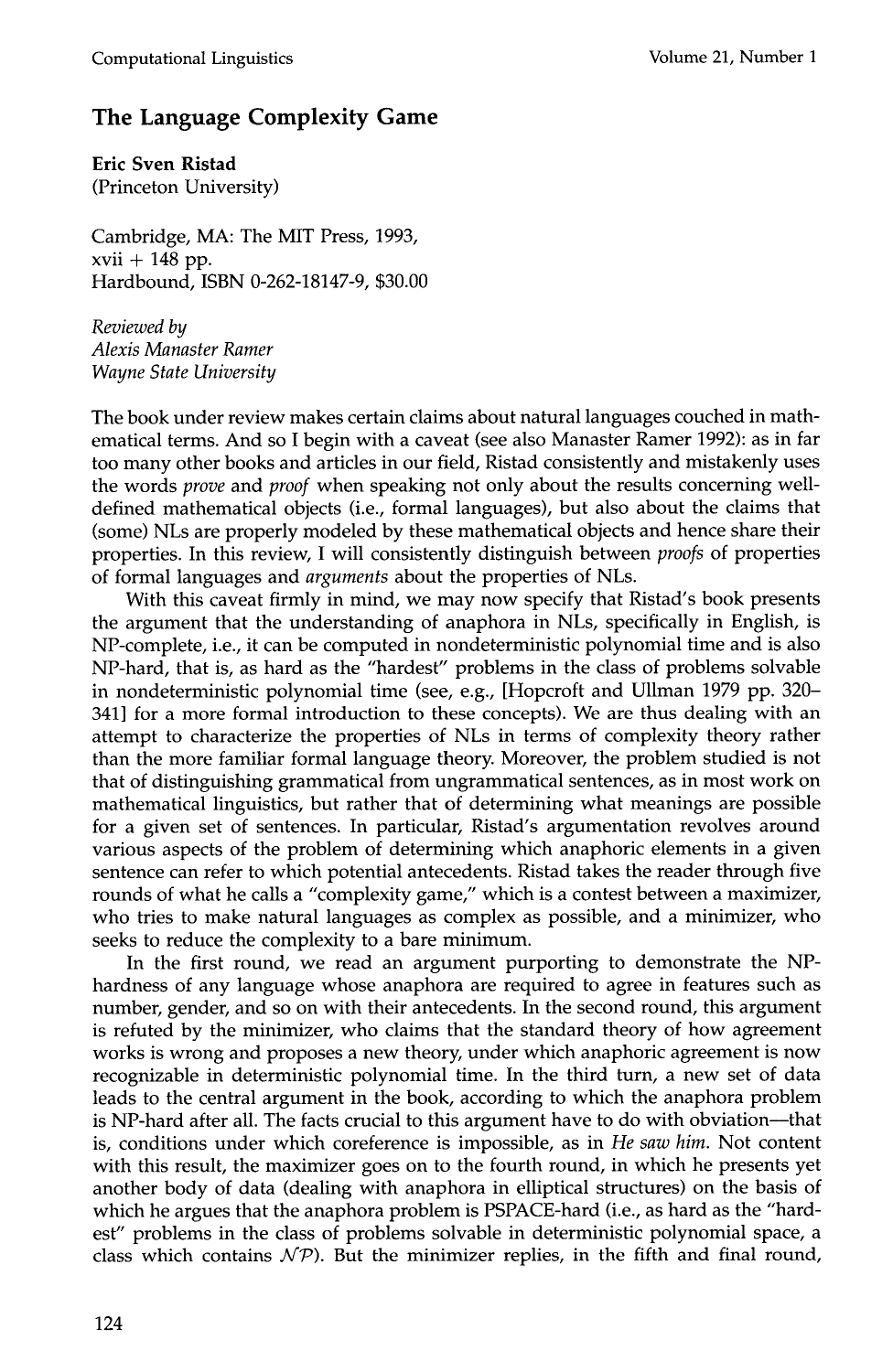## **The Language Complexity Game**

**Eric Sven Ristad**  (Princeton University)

Cambridge, MA: The MIT Press, 1993,  $xvii + 148$  pp. Hardbound, ISBN 0-262-18147-9, \$30.00

*Reviewed by Alexis Manaster Ramer Wayne State University* 

The book under review makes certain claims about natural languages couched in mathematical terms. And so I begin with a caveat (see also Manaster Ramer 1992): as in far too many other books and articles in our field, Ristad consistently and mistakenly uses the words *prove* and *proof* when speaking not only about the results concerning welldefined mathematical objects (i.e., formal languages), but also about the claims that (some) NLs are properly modeled by these mathematical objects and hence share their properties. In this review, I will consistently distinguish between *proofs* of properties of formal languages and *arguments* about the properties of NLs.

With this caveat firmly in mind, we may now specify that Ristad's book presents the argument that the understanding of anaphora in NLs, specifically in English, is NP-complete, i.e., it can be computed in nondeterministic polynomial time and is also NP-hard, that is, as hard as the "hardest" problems in the class of problems solvable in nondeterministic polynomial time (see, e.g., [Hopcroft and Ullman 1979 pp. 320- 341] for a more formal introduction to these concepts). We are thus dealing with an attempt to characterize the properties of NLs in terms of complexity theory rather than the more familiar formal language theory. Moreover, the problem studied is not that of distinguishing grammatical from ungrammatical sentences, as in most work on mathematical linguistics, but rather that of determining what meanings are possible for a given set of sentences. In particular, Ristad's argumentation revolves around various aspects of the problem of determining which anaphoric elements in a given sentence can refer to which potential antecedents. Ristad takes the reader through five rounds of what he calls a "complexity game," which is a contest between a maximizer, who tries to make natural languages as complex as possible, and a minimizer, who seeks to reduce the complexity to a bare minimum.

In the first round, we read an argument purporting to demonstrate the NPhardness of any language whose anaphora are required to agree in features such as number, gender, and so on with their antecedents. In the second round, this argument is refuted by the minimizer, who claims that the standard theory of how agreement works is wrong and proposes a new theory, under which anaphoric agreement is now recognizable in deterministic polynomial time. In the third turn, a new set of data leads to the central argument in the book, according to which the anaphora problem is NP-hard after all. The facts crucial to this argument have to do with obviation--that is, conditions under which coreference is impossible, as in *He saw him.* Not content with this result, the maximizer goes on to the fourth round, in which he presents yet another body of data (dealing with anaphora in elliptical structures) on the basis of which he argues that the anaphora problem is PSPACE-hard (i.e., as hard as the "hardest" problems in the class of problems solvable in deterministic polynomial space, a class which contains  $\mathcal{NP}$ ). But the minimizer replies, in the fifth and final round,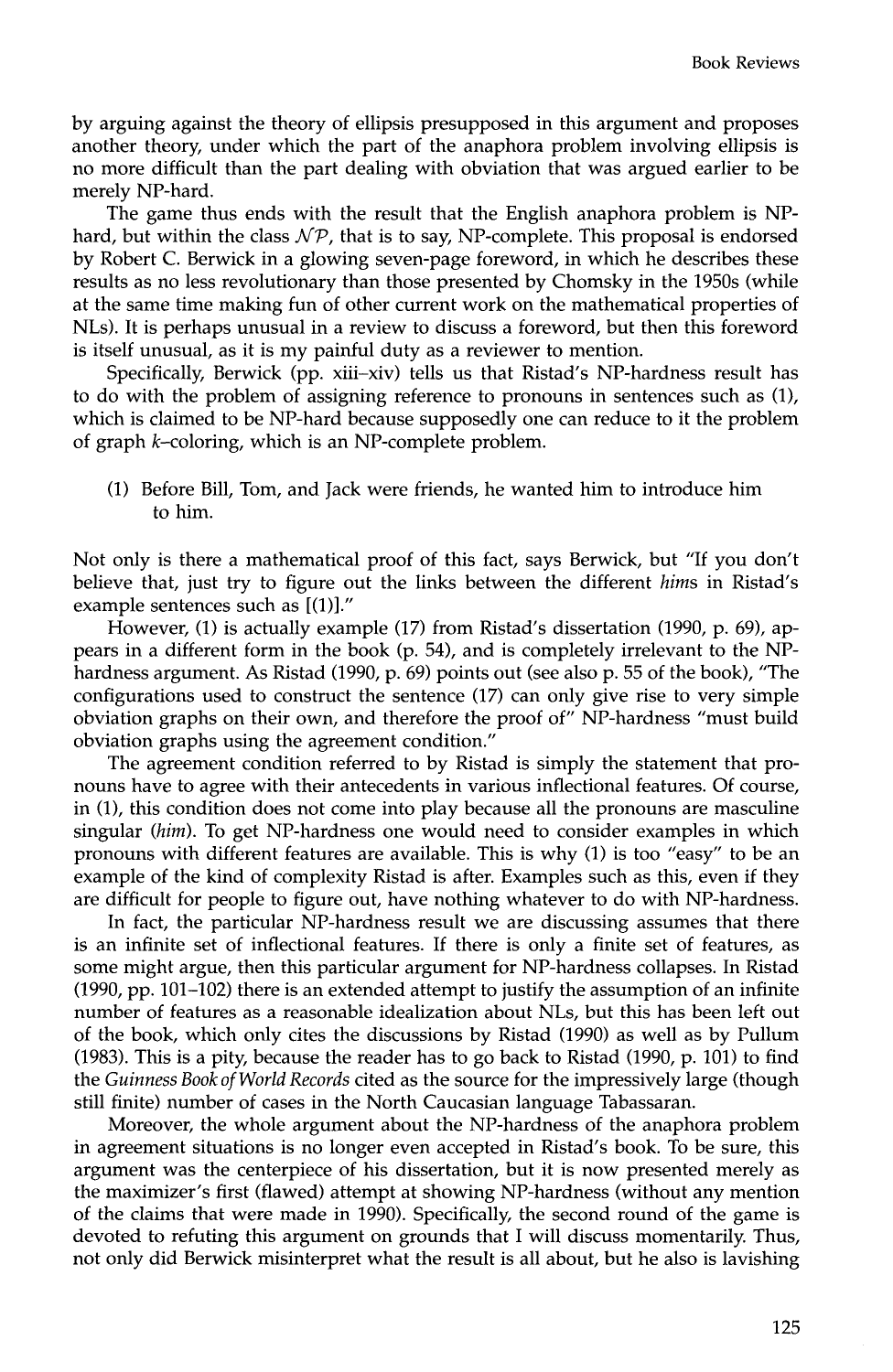by arguing against the theory of ellipsis presupposed in this argument and proposes another theory, under which the part of the anaphora problem involving ellipsis is no more difficult than the part dealing with obviation that was argued earlier to be merely NP-hard.

The game thus ends with the result that the English anaphora problem is NPhard, but within the class  $N\mathcal{P}$ , that is to say, NP-complete. This proposal is endorsed by Robert C. Berwick in a glowing seven-page foreword, in which he describes these results as no less revolutionary than those presented by Chomsky in the 1950s (while at the same time making fun of other current work on the mathematical properties of NLs). It is perhaps unusual in a review to discuss a foreword, but then this foreword is itself unusual, as it is my painful duty as a reviewer to mention.

Specifically, Berwick (pp. xiii-xiv) tells us that Ristad's NP-hardness result has to do with the problem of assigning reference to pronouns in sentences such as (1), which is claimed to be NP-hard because supposedly one can reduce to it the problem of graph k-coloring, which is an NP-complete problem.

(1) Before Bill, Tom, and Jack were friends, he wanted him to introduce him to him.

Not only is there a mathematical proof of this fact, says Berwick, but "If you don't believe that, just try to figure out the links between the different *hims* in Ristad's example sentences such as [(1)]."

However, (1) is actually example (17) from Ristad's dissertation (1990, p. 69), appears in a different form in the book (p. 54), and is completely irrelevant to the NPhardness argument. As Ristad (1990, p. 69) points out (see also p. 55 of the book), "The configurations used to construct the sentence (17) can only give rise to very simple obviation graphs on their own, and therefore the proof of" NP-hardness "must build obviation graphs using the agreement condition."

The agreement condition referred to by Ristad is simply the statement that pronouns have to agree with their antecedents in various inflectional features. Of course, in (1), this condition does not come into play because all the pronouns are masculine singular *(him).* To get NP-hardness one would need to consider examples in which pronouns with different features are available. This is why (1) is too "easy" to be an example of the kind of complexity Ristad is after. Examples such as this, even if they are difficult for people to figure out, have nothing whatever to do with NP-hardness.

In fact, the particular NP-hardness result we are discussing assumes that there is an infinite set of inflectional features. If there is only a finite set of features, as some might argue, then this particular argument for NP-hardness collapses. In Ristad (1990, pp. 101-102) there is an extended attempt to justify the assumption of an infinite number of features as a reasonable idealization about NLs, but this has been left out of the book, which only cites the discussions by Ristad (1990) as well as by Pullum (1983). This is a pity, because the reader has to go back to Ristad (1990, p. 101) to find the *Guinness Book of World Records* cited as the source for the impressively large (though still finite) number of cases in the North Caucasian language Tabassaran.

Moreover, the whole argument about the NP-hardness of the anaphora problem in agreement situations is no longer even accepted in Ristad's book. To be sure, this argument was the centerpiece of his dissertation, but it is now presented merely as the maximizer's first (flawed) attempt at showing NP-hardness (without any mention of the claims that were made in 1990). Specifically, the second round of the game is devoted to refuting this argument on grounds that I will discuss momentarily. Thus, not only did Berwick misinterpret what the result is all about, but he also is lavishing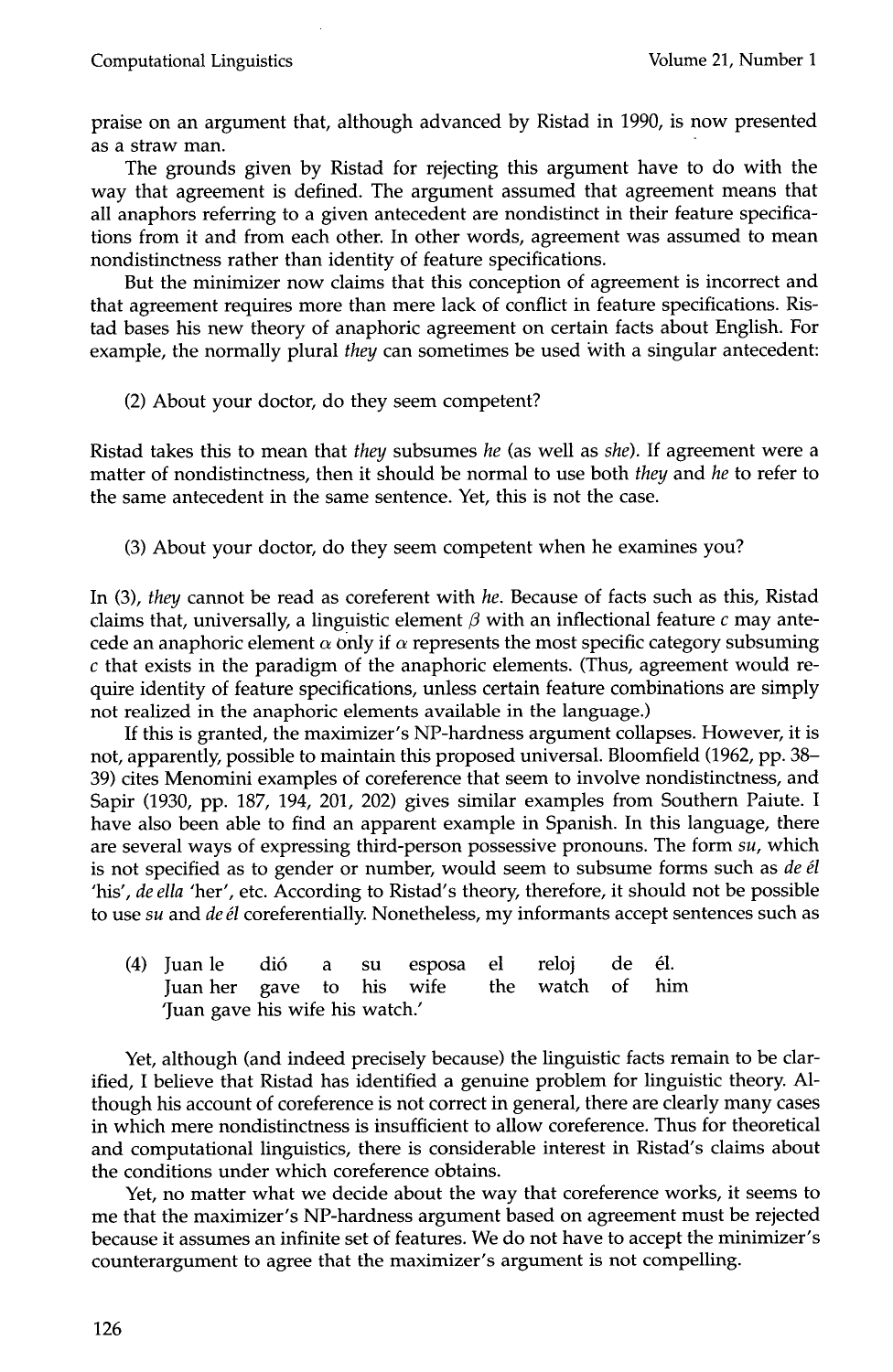praise on an argument that, although advanced by Ristad in 1990, is now presented as a straw man.

The grounds given by Ristad for rejecting this argument have to do with the way that agreement is defined. The argument assumed that agreement means that all anaphors referring to a given antecedent are nondistinct in their feature specifications from it and from each other. In other words, agreement was assumed to mean nondistinctness rather than identity of feature specifications.

But the minimizer now claims that this conception of agreement is incorrect and that agreement requires more than mere lack of conflict in feature specifications. Ristad bases his new theory of anaphoric agreement on certain facts about English. For example, the normally plural *they* can sometimes be used with a singular antecedent:

(2) About your doctor, do they seem competent?

Ristad takes this to mean that *they* subsumes *he* (as well as *she).* If agreement were a matter of nondistinctness, then it should be normal to use both *they* and *he* to refer to the same antecedent in the same sentence. Yet, this is not the case.

(3) About your doctor, do they seem competent when he examines you?

In (3), *they* cannot be read as coreferent with *he.* Because of facts such as this, Ristad claims that, universally, a linguistic element  $\beta$  with an inflectional feature c may antecede an anaphoric element  $\alpha$  only if  $\alpha$  represents the most specific category subsuming  $c$  that exists in the paradigm of the anaphoric elements. (Thus, agreement would require identity of feature specifications, unless certain feature combinations are simply not realized in the anaphoric elements available in the language.)

If this is granted, the maximizer's NP-hardness argument collapses. However, it is not, apparently, possible to maintain this proposed universal. Bloomfield (1962, pp. 38- 39) cites Menomini examples of coreference that seem to involve nondistinctness, and Sapir (1930, pp. 187, 194, 201, 202) gives similar examples from Southern Paiute. I have also been able to find an apparent example in Spanish. In this language, there are several ways of expressing third-person possessive pronouns. The form *su,* which is not specified as to gender or number, would seem to subsume forms such as *de él* 'his', *de ella* 'her', etc. According to Ristad's theory, therefore, it should not be possible to use *su* and *de él* coreferentially. Nonetheless, my informants accept sentences such as

(4) Juan le di6 a su esposa el reloj de 61. Juan her gave to his wife the watch of him 'Juan gave his wife his watch.'

Yet, although (and indeed precisely because) the linguistic facts remain to be clarified, I believe that Ristad has identified a genuine problem for linguistic theory. Although his account of coreference is not correct in general, there are clearly many cases in which mere nondistinctness is insufficient to allow coreference. Thus for theoretical and computational linguistics, there is considerable interest in Ristad's claims about the conditions under which coreference obtains.

Yet, no matter what we decide about the way that coreference works, it seems to me that the maximizer's NP-hardness argument based on agreement must be rejected because it assumes an infinite set of features. We do not have to accept the minimizer's counterargument to agree that the maximizer's argument is not compelling.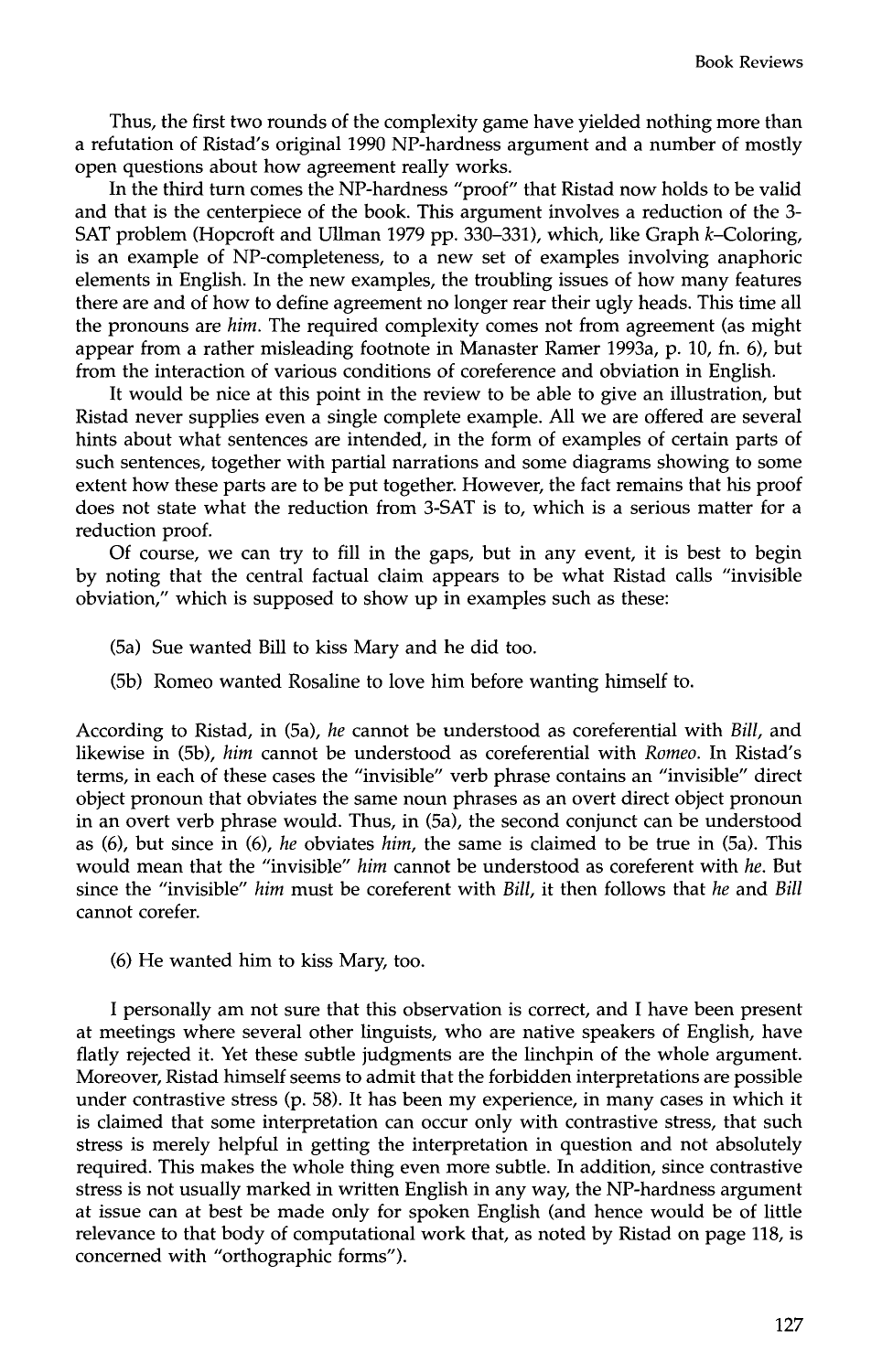Thus, the first two rounds of the complexity game have yielded nothing more than a refutation of Ristad's original 1990 NP-hardness argument and a number of mostly open questions about how agreement really works.

In the third turn comes the NP-hardness "proof" that Ristad now holds to be valid and that is the centerpiece of the book. This argument involves a reduction of the 3- SAT problem (Hopcroft and Ullman 1979 pp. 330–331), which, like Graph k-Coloring, is an example of NP-completeness, to a new set of examples involving anaphoric elements in English. In the new examples, the troubling issues of how many features there are and of how to define agreement no longer rear their ugly heads. This time all the pronouns are *him.* The required complexity comes not from agreement (as might appear from a rather misleading footnote in Manaster Ramer 1993a, p. 10, fn. 6), but from the interaction of various conditions of coreference and obviation in English.

It would be nice at this point in the review to be able to give an illustration, but Ristad never supplies even a single complete example. All we are offered are several hints about what sentences are intended, in the form of examples of certain parts of such sentences, together with partial narrations and some diagrams showing to some extent how these parts are to be put together. However, the fact remains that his proof does not state what the reduction from 3-SAT is to, which is a serious matter for a reduction proof.

Of course, we can try to fill in the gaps, but in any event, it is best to begin by noting that the central factual claim appears to be what Ristad calls "invisible obviation," which is supposed to show up in examples such as these:

- (5a) Sue wanted Bill to kiss Mary and he did too.
- (5b) Romeo wanted Rosaline to love him before wanting himself to.

According to Ristad, in (5a), *he* cannot be understood as coreferential with *Bill,* and likewise in (5b), *him* cannot be understood as coreferential with *Romeo.* In Ristad's terms, in each of these cases the "invisible" verb phrase contains an "invisible" direct object pronoun that obviates the same noun phrases as an overt direct object pronoun in an overt verb phrase would. Thus, in (5a), the second conjunct can be understood as (6), but since in (6), *he* obviates *him,* the same is claimed to be true in (5a). This would mean that the "invisible" *him* cannot be understood as coreferent with *he.* But since the "invisible" *him* must be coreferent with *Bill,* it then follows that *he* and *Bill*  cannot corefer.

(6) He wanted him to kiss Mary, too.

I personally am not sure that this observation is correct, and I have been present at meetings where several other linguists, who are native speakers of English, have flatly rejected it. Yet these subtle judgments are the linchpin of the whole argument. Moreover, Ristad himself seems to admit that the forbidden interpretations are possible under contrastive stress (p. 58). It has been my experience, in many cases in which it is claimed that some interpretation can occur only with contrastive stress, that such stress is merely helpful in getting the interpretation in question and not absolutely required. This makes the whole thing even more subtle. In addition, since contrastive stress is not usually marked in written English in any way, the NP-hardness argument at issue can at best be made only for spoken English (and hence would be of little relevance to that body of computational work that, as noted by Ristad on page 118, is concerned with "orthographic forms").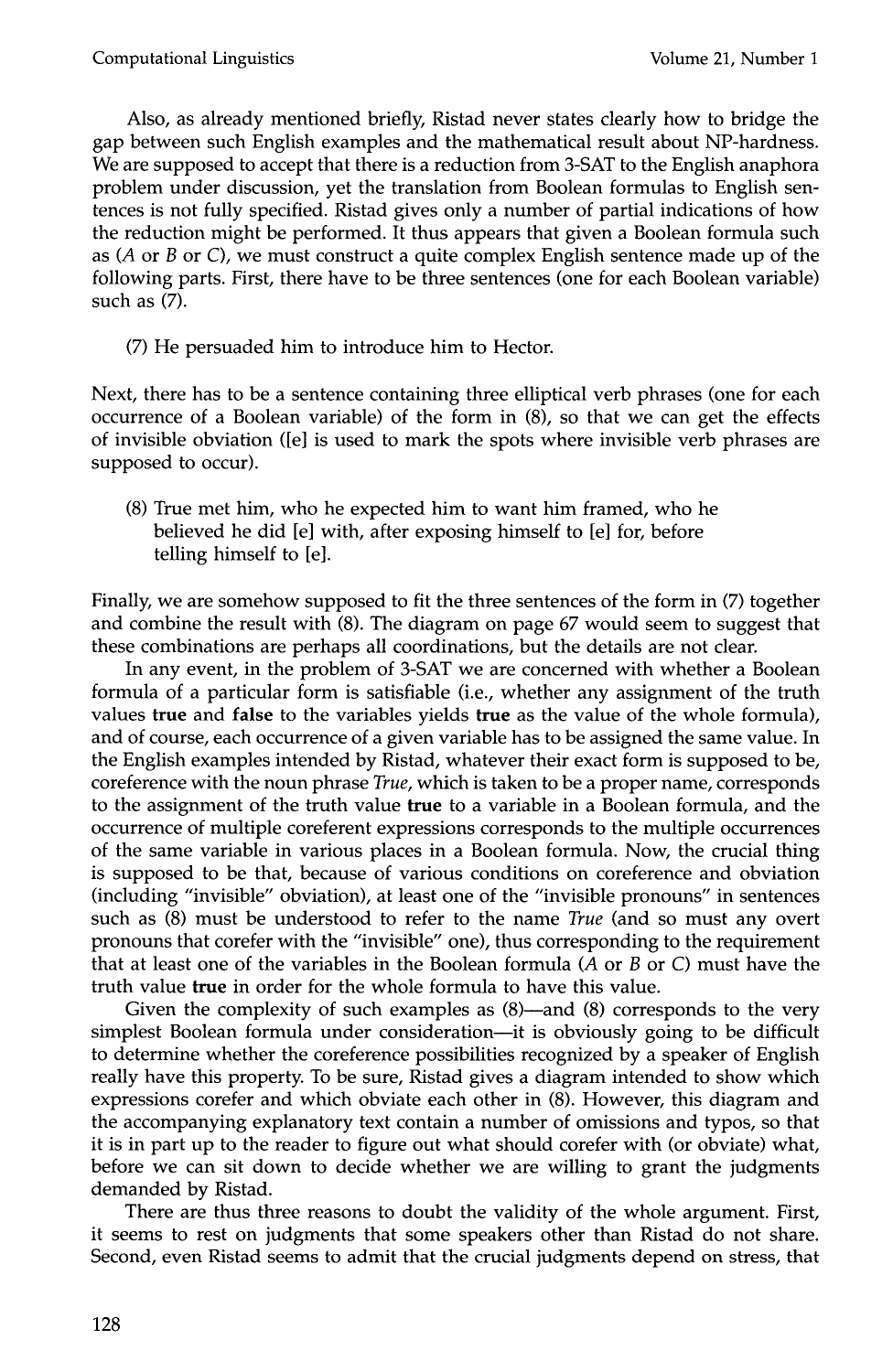Also, as already mentioned briefly, Ristad never states clearly how to bridge the gap between such English examples and the mathematical result about NP-hardness. We are supposed to accept that there is a reduction from 3-SAT to the English anaphora problem under discussion, yet the translation from Boolean formulas to English sentences is not fully specified. Ristad gives only a number of partial indications of how the reduction might be performed. It thus appears that given a Boolean formula such as  $(A \text{ or } B \text{ or } C)$ , we must construct a quite complex English sentence made up of the following parts. First, there have to be three sentences (one for each Boolean variable) such as (7).

(7) He persuaded him to introduce him to Hector.

Next, there has to be a sentence containing three elliptical verb phrases (one for each occurrence of a Boolean variable) of the form in (8), so that we can get the effects of invisible obviation ([e] is used to mark the spots where invisible verb phrases are supposed to occur).

(8) True met him, who he expected him to want him framed, who he believed he did [e] with, after exposing himself to [e] for, before telling himself to [e].

Finally, we are somehow supposed to fit the three sentences of the form in (7) together and combine the result with (8). The diagram on page 67 would seem to suggest that these combinations are perhaps all coordinations, but the details are not clear.

In any event, in the problem of 3-SAT we are concerned with whether a Boolean formula of a particular form is satisfiable (i.e., whether any assignment of the truth values true and false to the variables yields true as the value of the whole formula), and of course, each occurrence of a given variable has to be assigned the same value. In the English examples intended by Ristad, whatever their exact form is supposed to be, coreference with the noun phrase *True,* which is taken to be a proper name, corresponds to the assignment of the truth value true to a variable in a Boolean formula, and the occurrence of multiple coreferent expressions corresponds to the multiple occurrences of the same variable in various places in a Boolean formula. Now, the crucial thing is supposed to be that, because of various conditions on coreference and obviation (including "invisible" obviation), at least one of the "invisible pronouns" in sentences such as (8) must be understood to refer to the name *True* (and so must any overt pronouns that corefer with the "invisible" one), thus corresponding to the requirement that at least one of the variables in the Boolean formula (A or B or C) must have the truth value true in order for the whole formula to have this value.

Given the complexity of such examples as  $(8)$ —and  $(8)$  corresponds to the very simplest Boolean formula under consideration--it is obviously going to be difficult to determine whether the coreference possibilities recognized by a speaker of English really have this property. To be sure, Ristad gives a diagram intended to show which expressions corefer and which obviate each other in (8). However, this diagram and the accompanying explanatory text contain a number of omissions and typos, so that it is in part up to the reader to figure out what should corefer with (or obviate) what, before we can sit down to decide whether we are willing to grant the judgments demanded by Ristad.

There are thus three reasons to doubt the validity of the whole argument. First, it seems to rest on judgments that some speakers other than Ristad do not share. Second, even Ristad seems to admit that the crucial judgments depend on stress, that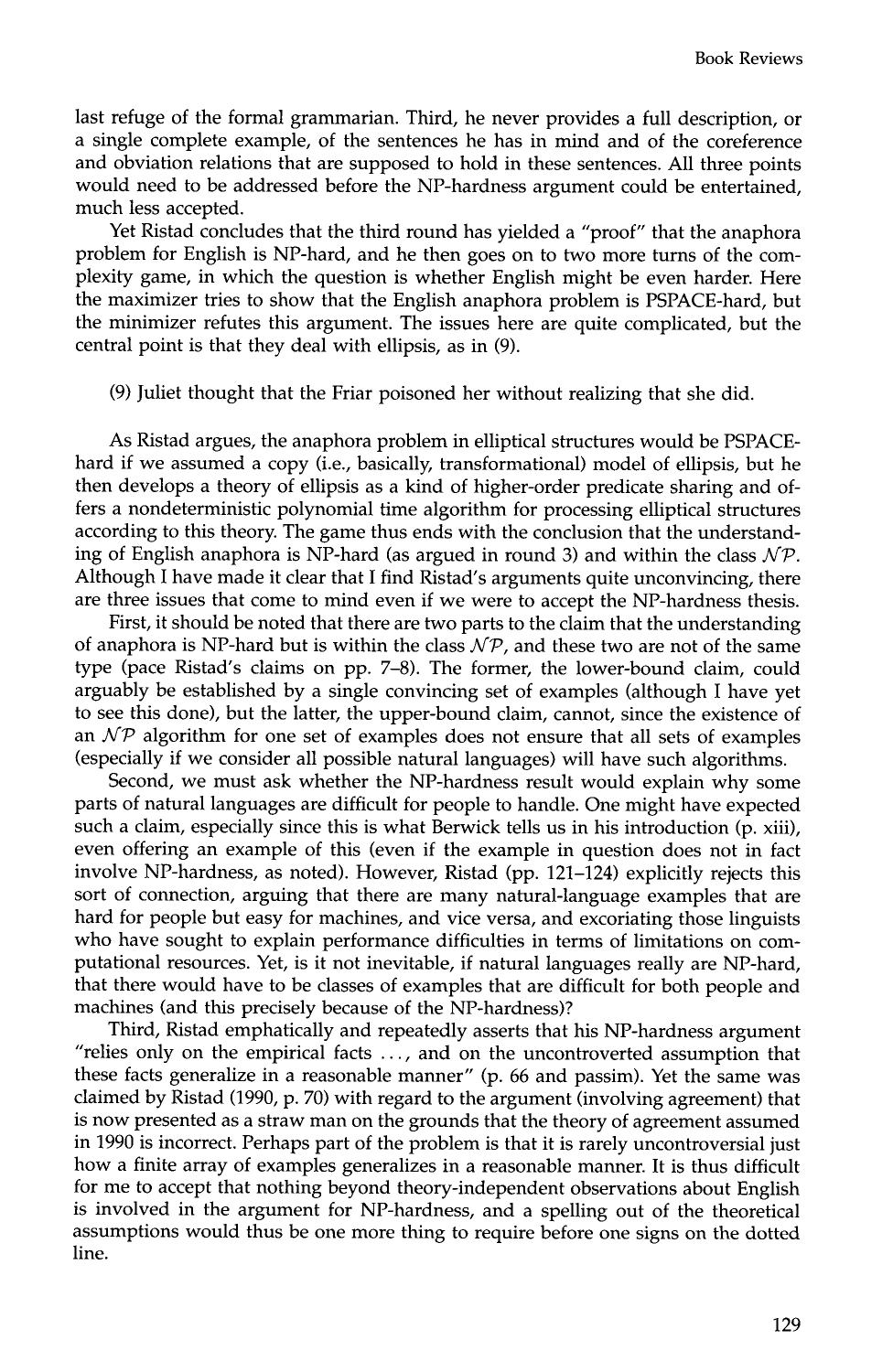last refuge of the formal grammarian. Third, he never provides a full description, or a single complete example, of the sentences he has in mind and of the coreference and obviation relations that are supposed to hold in these sentences. All three points would need to be addressed before the NP-hardness argument could be entertained, much less accepted.

Yet Ristad concludes that the third round has yielded a "proof" that the anaphora problem for English is NP-hard, and he then goes on to two more turns of the complexity game, in which the question is whether English might be even harder. Here the maximizer tries to show that the English anaphora problem is PSPACE-hard, but the minimizer refutes this argument. The issues here are quite complicated, but the central point is that they deal with ellipsis, as in (9).

(9) Juliet thought that the Friar poisoned her without realizing that she did.

As Ristad argues, the anaphora problem in elliptical structures would be PSPACEhard if we assumed a copy (i.e., basically, transformational) model of ellipsis, but he then develops a theory of ellipsis as a kind of higher-order predicate sharing and offers a nondeterministic polynomial time algorithm for processing elliptical structures according to this theory. The game thus ends with the conclusion that the understanding of English anaphora is NP-hard (as argued in round 3) and within the class  $N\mathcal{P}$ . Although I have made it clear that I find Ristad's arguments quite unconvincing, there are three issues that come to mind even if we were to accept the NP-hardness thesis.

First, it should be noted that there are two parts to the claim that the understanding of anaphora is NP-hard but is within the class  $N\mathcal{P}$ , and these two are not of the same type (pace Ristad's claims on pp. 7-8). The former, the lower-bound claim, could arguably be established by a single convincing set of examples (although I have yet to see this done), but the latter, the upper-bound claim, cannot, since the existence of an  $\mathcal{NP}$  algorithm for one set of examples does not ensure that all sets of examples (especially if we consider all possible natural languages) will have such algorithms.

Second, we must ask whether the NP-hardness result would explain why some parts of natural languages are difficult for people to handle. One might have expected such a claim, especially since this is what Berwick tells us in his introduction (p. xiii), even offering an example of this (even if the example in question does not in fact involve NP-hardness, as noted). However, Ristad (pp. 121-124) explicitly rejects this sort of connection, arguing that there are many natural-language examples that are hard for people but easy for machines, and vice versa, and excoriating those linguists who have sought to explain performance difficulties in terms of limitations on computational resources. Yet, is it not inevitable, if natural languages really are NP-hard, that there would have to be classes of examples that are difficult for both people and machines (and this precisely because of the NP-hardness)?

Third, Ristad emphatically and repeatedly asserts that his NP-hardness argument "relies only on the empirical facts ..., and on the uncontroverted assumption that these facts generalize in a reasonable manner" (p. 66 and passim). Yet the same was claimed by Ristad (1990, p. 70) with regard to the argument (involving agreement) that is now presented as a straw man on the grounds that the theory of agreement assumed in 1990 is incorrect. Perhaps part of the problem is that it is rarely uncontroversial just how a finite array of examples generalizes in a reasonable manner. It is thus difficult for me to accept that nothing beyond theory-independent observations about English is involved in the argument for NP-hardness, and a spelling out of the theoretical assumptions would thus be one more thing to require before one signs on the dotted line.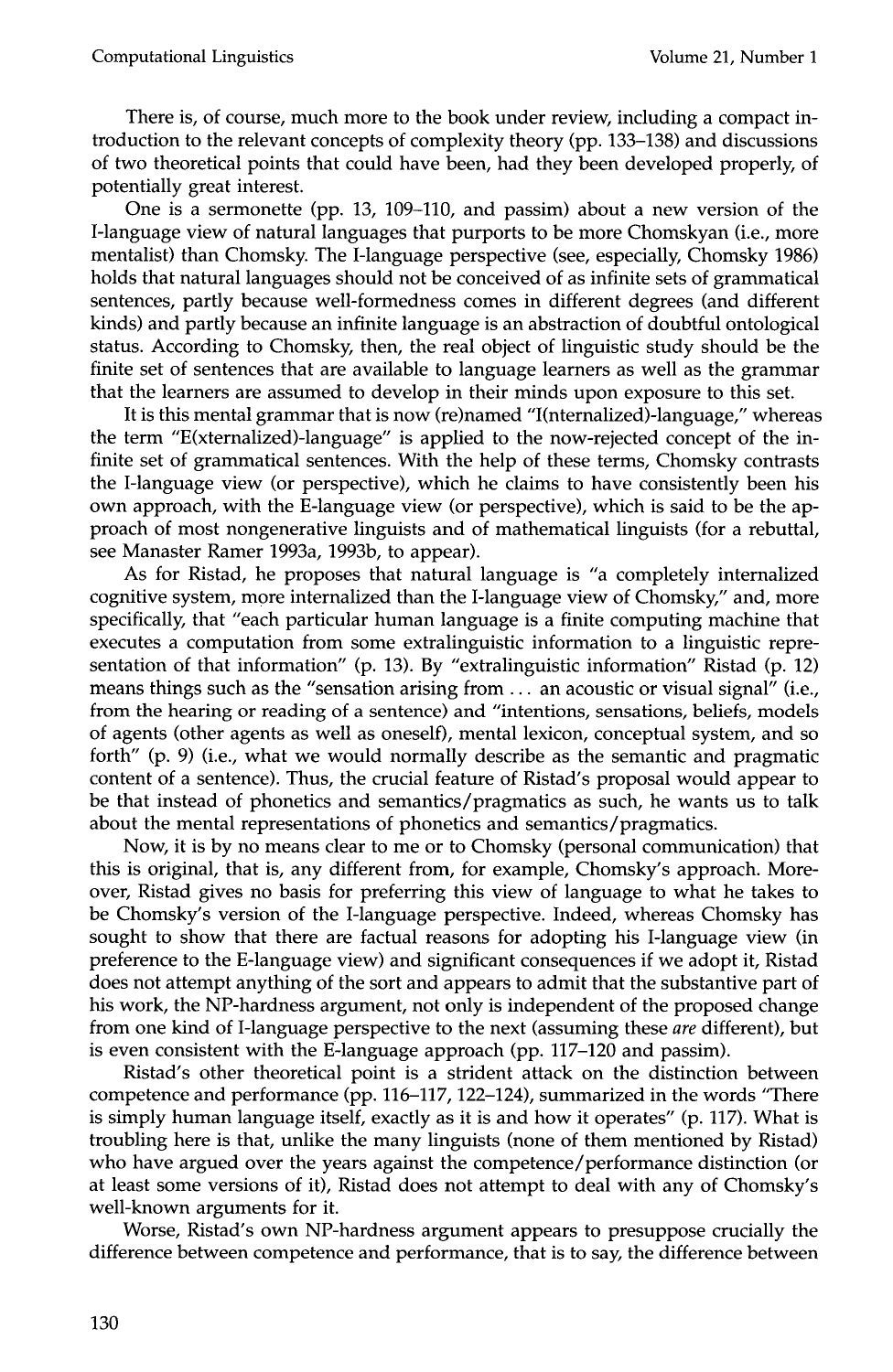There is, of course, much more to the book under review, including a compact introduction to the relevant concepts of complexity theory (pp. 133-138) and discussions of two theoretical points that could have been, had they been developed properly, of potentially great interest.

One is a sermonette (pp. 13, 109-110, and passim) about a new version of the I-language view of natural languages that purports to be more Chomskyan (i.e., more mentalist) than Chomsky. The I-language perspective (see, especially, Chomsky 1986) holds that natural languages should not be conceived of as infinite sets of grammatical sentences, partly because well-formedness comes in different degrees (and different kinds) and partly because an infinite language is an abstraction of doubtful ontological status. According to Chomsky, then, the real object of linguistic study should be the finite set of sentences that are available to language learners as well as the grammar that the learners are assumed to develop in their minds upon exposure to this set.

It is this mental grammar that is now (re)named "I(nternalized)-language," whereas the term "E(xternalized)-language" is applied to the now-rejected concept of the infinite set of grammatical sentences. With the help of these terms, Chomsky contrasts the I-language view (or perspective), which he claims to have consistently been his own approach, with the E-language view (or perspective), which is said to be the approach of most nongenerative linguists and of mathematical linguists (for a rebuttal, see Manaster Ramer 1993a, 1993b, to appear).

As for Ristad, he proposes that natural language is "a completely internalized cognitive system, more internalized than the I-language view of Chomsky," and, more specifically, that "each particular human language is a finite computing machine that executes a computation from some extralinguistic information to a linguistic representation of that information" (p. 13). By "extralinguistic information" Ristad (p. 12) means things such as the "sensation arising from ... an acoustic or visual signal" (i.e., from the hearing or reading of a sentence) and "intentions, sensations, beliefs, models of agents (other agents as well as oneself), mental lexicon, conceptual system, and so forth" (p. 9) (i.e., what we would normally describe as the semantic and pragmatic content of a sentence). Thus, the crucial feature of Ristad's proposal would appear to be that instead of phonetics and semantics/pragmatics as such, he wants us to talk about the mental representations of phonetics and semantics/pragmatics.

Now, it is by no means clear to me or to Chomsky (personal communication) that this is original, that is, any different from, for example, Chomsky's approach. Moreover, Ristad gives no basis for preferring this view of language to what he takes to be Chomsky's version of the I-language perspective. Indeed, whereas Chomsky has sought to show that there are factual reasons for adopting his I-language view (in preference to the E-language view) and significant consequences if we adopt it, Ristad does not attempt anything of the sort and appears to admit that the substantive part of his work, the NP-hardness argument, not only is independent of the proposed change from one kind of I-language perspective to the next (assuming these *are* different), but is even consistent with the E-language approach (pp. 117-120 and passim).

Ristad's other theoretical point is a strident attack on the distinction between competence and performance (pp. 116-117, 122-124), summarized in the words "There is simply human language itself, exactly as it is and how it operates" (p. 117). What is troubling here is that, unlike the many linguists (none of them mentioned by Ristad) who have argued over the years against the competence/performance distinction (or at least some versions of it), Ristad does not attempt to deal with any of Chomsky's well-known arguments for it.

Worse, Ristad's own NP-hardness argument appears to presuppose crucially the difference between competence and performance, that is to say, the difference between